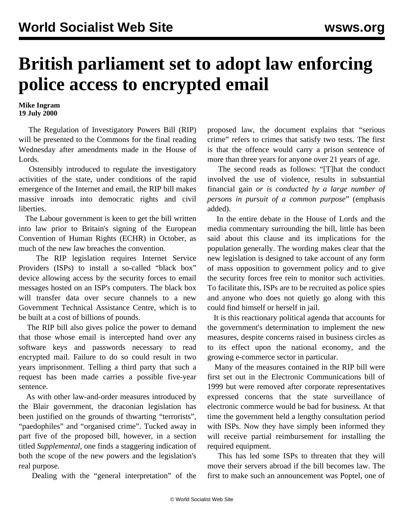## **British parliament set to adopt law enforcing police access to encrypted email**

**Mike Ingram 19 July 2000**

 The Regulation of Investigatory Powers Bill (RIP) will be presented to the Commons for the final reading Wednesday after amendments made in the House of Lords.

 Ostensibly introduced to regulate the investigatory activities of the state, under conditions of the rapid emergence of the Internet and email, the RIP bill makes massive inroads into democratic rights and civil liberties.

 The Labour government is keen to get the bill written into law prior to Britain's signing of the European Convention of Human Rights (ECHR) in October, as much of the new law breaches the convention.

 The RIP legislation requires Internet Service Providers (ISPs) to install a so-called "black box" device allowing access by the security forces to email messages hosted on an ISP's computers. The black box will transfer data over secure channels to a new Government Technical Assistance Centre, which is to be built at a cost of billions of pounds.

 The RIP bill also gives police the power to demand that those whose email is intercepted hand over any software keys and passwords necessary to read encrypted mail. Failure to do so could result in two years imprisonment. Telling a third party that such a request has been made carries a possible five-year sentence.

 As with other law-and-order measures introduced by the Blair government, the draconian legislation has been justified on the grounds of thwarting "terrorists", "paedophiles" and "organised crime". Tucked away in part five of the proposed bill, however, in a section titled *Supplemental*, one finds a staggering indication of both the scope of the new powers and the legislation's real purpose.

Dealing with the "general interpretation" of the

proposed law, the document explains that "serious crime" refers to crimes that satisfy two tests. The first is that the offence would carry a prison sentence of more than three years for anyone over 21 years of age.

 The second reads as follows: "[T]hat the conduct involved the use of violence, results in substantial financial gain *or is conducted by a large number of persons in pursuit of a common purpose*" (emphasis added).

 In the entire debate in the House of Lords and the media commentary surrounding the bill, little has been said about this clause and its implications for the population generally. The wording makes clear that the new legislation is designed to take account of any form of mass opposition to government policy and to give the security forces free rein to monitor such activities. To facilitate this, ISPs are to be recruited as police spies and anyone who does not quietly go along with this could find himself or herself in jail.

 It is this reactionary political agenda that accounts for the government's determination to implement the new measures, despite concerns raised in business circles as to its effect upon the national economy, and the growing e-commerce sector in particular.

 Many of the measures contained in the RIP bill were first set out in the Electronic Communications bill of 1999 but were removed after corporate representatives expressed concerns that the state surveillance of electronic commerce would be bad for business. At that time the government held a lengthy consultation period with ISPs. Now they have simply been informed they will receive partial reimbursement for installing the required equipment.

 This has led some ISPs to threaten that they will move their servers abroad if the bill becomes law. The first to make such an announcement was Poptel, one of